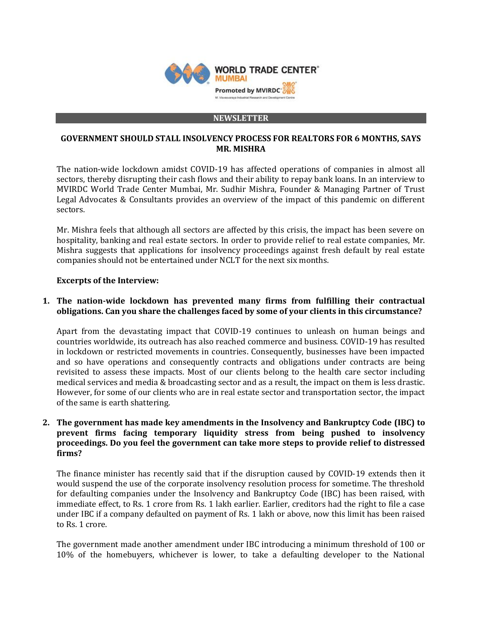

#### **NEWSLETTER**

## **GOVERNMENT SHOULD STALL INSOLVENCY PROCESS FOR REALTORS FOR 6 MONTHS, SAYS MR. MISHRA**

The nation-wide lockdown amidst COVID-19 has affected operations of companies in almost all sectors, thereby disrupting their cash flows and their ability to repay bank loans. In an interview to MVIRDC World Trade Center Mumbai, Mr. Sudhir Mishra, Founder & Managing Partner of Trust Legal Advocates & Consultants provides an overview of the impact of this pandemic on different sectors.

Mr. Mishra feels that although all sectors are affected by this crisis, the impact has been severe on hospitality, banking and real estate sectors. In order to provide relief to real estate companies, Mr. Mishra suggests that applications for insolvency proceedings against fresh default by real estate companies should not be entertained under NCLT for the next six months.

## **Excerpts of the Interview:**

# **1. The nation-wide lockdown has prevented many firms from fulfilling their contractual obligations. Can you share the challenges faced by some of your clients in this circumstance?**

Apart from the devastating impact that COVID-19 continues to unleash on human beings and countries worldwide, its outreach has also reached commerce and business. COVID-19 has resulted in lockdown or restricted movements in countries. Consequently, businesses have been impacted and so have operations and consequently contracts and obligations under contracts are being revisited to assess these impacts. Most of our clients belong to the health care sector including medical services and media & broadcasting sector and as a result, the impact on them is less drastic. However, for some of our clients who are in real estate sector and transportation sector, the impact of the same is earth shattering.

# **2. The government has made key amendments in the Insolvency and Bankruptcy Code (IBC) to prevent firms facing temporary liquidity stress from being pushed to insolvency proceedings. Do you feel the government can take more steps to provide relief to distressed firms?**

The finance minister has recently said that if the disruption caused by COVID-19 extends then it would suspend the use of the corporate insolvency resolution process for sometime. The threshold for defaulting companies under the Insolvency and Bankruptcy Code (IBC) has been raised, with immediate effect, to Rs. 1 crore from Rs. 1 lakh earlier. Earlier, creditors had the right to file a case under IBC if a company defaulted on payment of Rs. 1 lakh or above, now this limit has been raised to Rs. 1 crore.

The government made another amendment under IBC introducing a minimum threshold of 100 or 10% of the homebuyers, whichever is lower, to take a defaulting developer to the National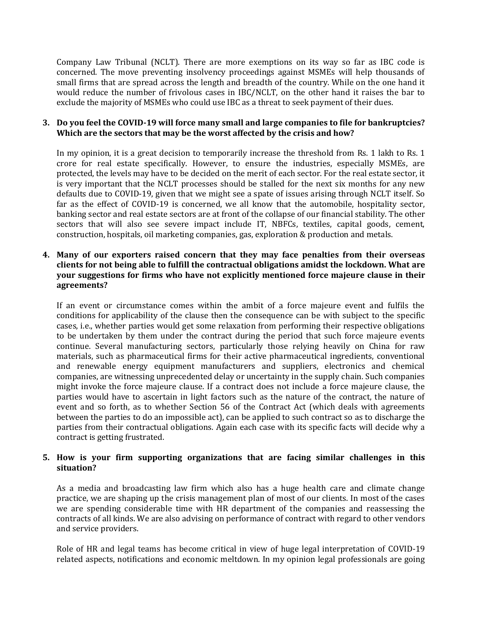Company Law Tribunal (NCLT). There are more exemptions on its way so far as IBC code is concerned. The move preventing insolvency proceedings against MSMEs will help thousands of small firms that are spread across the length and breadth of the country. While on the one hand it would reduce the number of frivolous cases in IBC/NCLT, on the other hand it raises the bar to exclude the majority of MSMEs who could use IBC as a threat to seek payment of their dues.

## **3. Do you feel the COVID-19 will force many small and large companies to file for bankruptcies? Which are the sectors that may be the worst affected by the crisis and how?**

In my opinion, it is a great decision to temporarily increase the threshold from Rs. 1 lakh to Rs. 1 crore for real estate specifically. However, to ensure the industries, especially MSMEs, are protected, the levels may have to be decided on the merit of each sector. For the real estate sector, it is very important that the NCLT processes should be stalled for the next six months for any new defaults due to COVID-19, given that we might see a spate of issues arising through NCLT itself. So far as the effect of COVID-19 is concerned, we all know that the automobile, hospitality sector, banking sector and real estate sectors are at front of the collapse of our financial stability. The other sectors that will also see severe impact include IT, NBFCs, textiles, capital goods, cement, construction, hospitals, oil marketing companies, gas, exploration & production and metals.

## **4. Many of our exporters raised concern that they may face penalties from their overseas clients for not being able to fulfill the contractual obligations amidst the lockdown. What are your suggestions for firms who have not explicitly mentioned force majeure clause in their agreements?**

If an event or circumstance comes within the ambit of a force majeure event and fulfils the conditions for applicability of the clause then the consequence can be with subject to the specific cases, i.e., whether parties would get some relaxation from performing their respective obligations to be undertaken by them under the contract during the period that such force majeure events continue. Several manufacturing sectors, particularly those relying heavily on China for raw materials, such as pharmaceutical firms for their active pharmaceutical ingredients, conventional and renewable energy equipment manufacturers and suppliers, electronics and chemical companies, are witnessing unprecedented delay or uncertainty in the supply chain. Such companies might invoke the force majeure clause. If a contract does not include a force majeure clause, the parties would have to ascertain in light factors such as the nature of the contract, the nature of event and so forth, as to whether Section 56 of the Contract Act (which deals with agreements between the parties to do an impossible act), can be applied to such contract so as to discharge the parties from their contractual obligations. Again each case with its specific facts will decide why a contract is getting frustrated.

# **5. How is your firm supporting organizations that are facing similar challenges in this situation?**

As a media and broadcasting law firm which also has a huge health care and climate change practice, we are shaping up the crisis management plan of most of our clients. In most of the cases we are spending considerable time with HR department of the companies and reassessing the contracts of all kinds. We are also advising on performance of contract with regard to other vendors and service providers.

Role of HR and legal teams has become critical in view of huge legal interpretation of COVID-19 related aspects, notifications and economic meltdown. In my opinion legal professionals are going